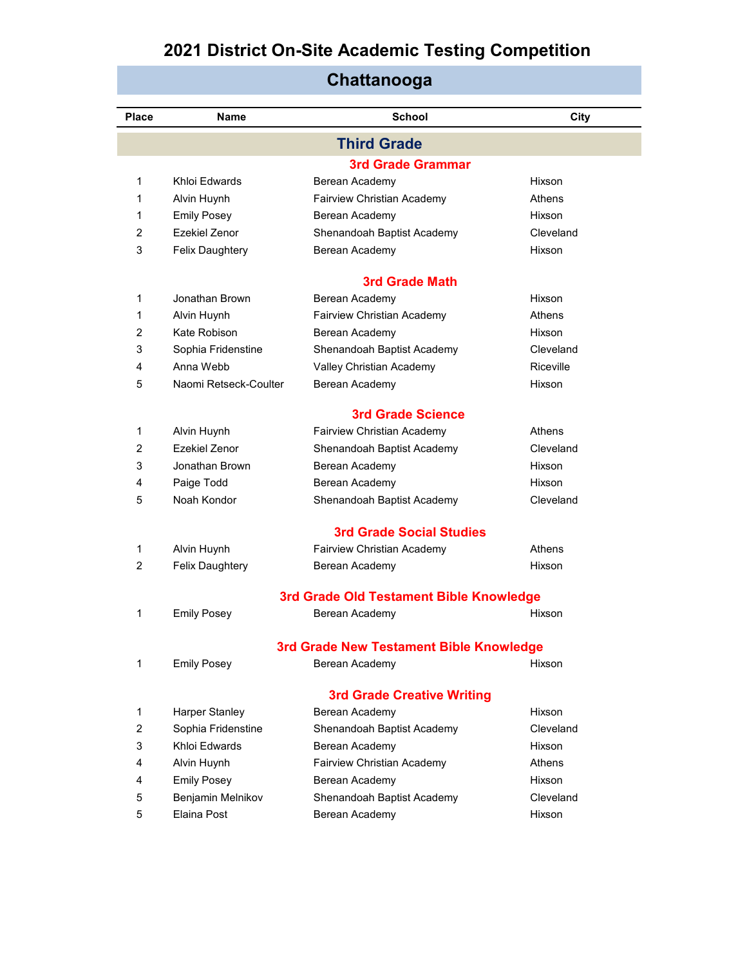| <b>Place</b> | Name                  | <b>School</b>                                          | City          |  |  |  |
|--------------|-----------------------|--------------------------------------------------------|---------------|--|--|--|
|              |                       | <b>Third Grade</b>                                     |               |  |  |  |
|              |                       | <b>3rd Grade Grammar</b>                               |               |  |  |  |
| 1            | Khloi Edwards         | Berean Academy                                         | Hixson        |  |  |  |
| 1.           | Alvin Huynh           | Fairview Christian Academy                             | <b>Athens</b> |  |  |  |
| 1.           | <b>Emily Posey</b>    | Berean Academy                                         | Hixson        |  |  |  |
| 2            | Ezekiel Zenor         | Shenandoah Baptist Academy                             | Cleveland     |  |  |  |
| 3            | Felix Daughtery       | Berean Academy                                         | Hixson        |  |  |  |
|              |                       | <b>3rd Grade Math</b>                                  |               |  |  |  |
| 1            | Jonathan Brown        | Berean Academy                                         | Hixson        |  |  |  |
| 1.           | Alvin Huynh           | Fairview Christian Academy                             | Athens        |  |  |  |
| 2            | Kate Robison          | Berean Academy                                         | <b>Hixson</b> |  |  |  |
| 3            | Sophia Fridenstine    | Shenandoah Baptist Academy                             | Cleveland     |  |  |  |
| 4            | Anna Webb             | Valley Christian Academy                               | Riceville     |  |  |  |
| 5            | Naomi Retseck-Coulter | Berean Academy                                         | Hixson        |  |  |  |
|              |                       |                                                        |               |  |  |  |
| 1            | Alvin Huynh           | <b>3rd Grade Science</b><br>Fairview Christian Academy | Athens        |  |  |  |
| 2            | Ezekiel Zenor         | Shenandoah Baptist Academy                             | Cleveland     |  |  |  |
| 3            | Jonathan Brown        | Berean Academy                                         | Hixson        |  |  |  |
| 4            | Paige Todd            | Berean Academy                                         | Hixson        |  |  |  |
| 5            | Noah Kondor           | Shenandoah Baptist Academy                             | Cleveland     |  |  |  |
|              |                       |                                                        |               |  |  |  |
|              |                       | <b>3rd Grade Social Studies</b>                        |               |  |  |  |
| 1            | Alvin Huynh           | Fairview Christian Academy                             | Athens        |  |  |  |
| 2            | Felix Daughtery       | Berean Academy                                         | Hixson        |  |  |  |
|              |                       | 3rd Grade Old Testament Bible Knowledge                |               |  |  |  |
| 1            | <b>Emily Posey</b>    | Berean Academy                                         | Hixson        |  |  |  |
|              |                       | 3rd Grade New Testament Bible Knowledge                |               |  |  |  |
| 1            | <b>Emily Posey</b>    | Berean Academy                                         | Hixson        |  |  |  |
|              |                       |                                                        |               |  |  |  |
|              |                       | <b>3rd Grade Creative Writing</b>                      |               |  |  |  |
| 1            | Harper Stanley        | Berean Academy                                         | Hixson        |  |  |  |
| 2            | Sophia Fridenstine    | Shenandoah Baptist Academy                             | Cleveland     |  |  |  |
| 3            | Khloi Edwards         | Berean Academy                                         | Hixson        |  |  |  |
| 4            | Alvin Huynh           | Fairview Christian Academy                             | Athens        |  |  |  |
| 4            | <b>Emily Posey</b>    | Berean Academy                                         | Hixson        |  |  |  |
| 5            | Benjamin Melnikov     | Shenandoah Baptist Academy                             | Cleveland     |  |  |  |
| 5            | Elaina Post           | Berean Academy                                         | Hixson        |  |  |  |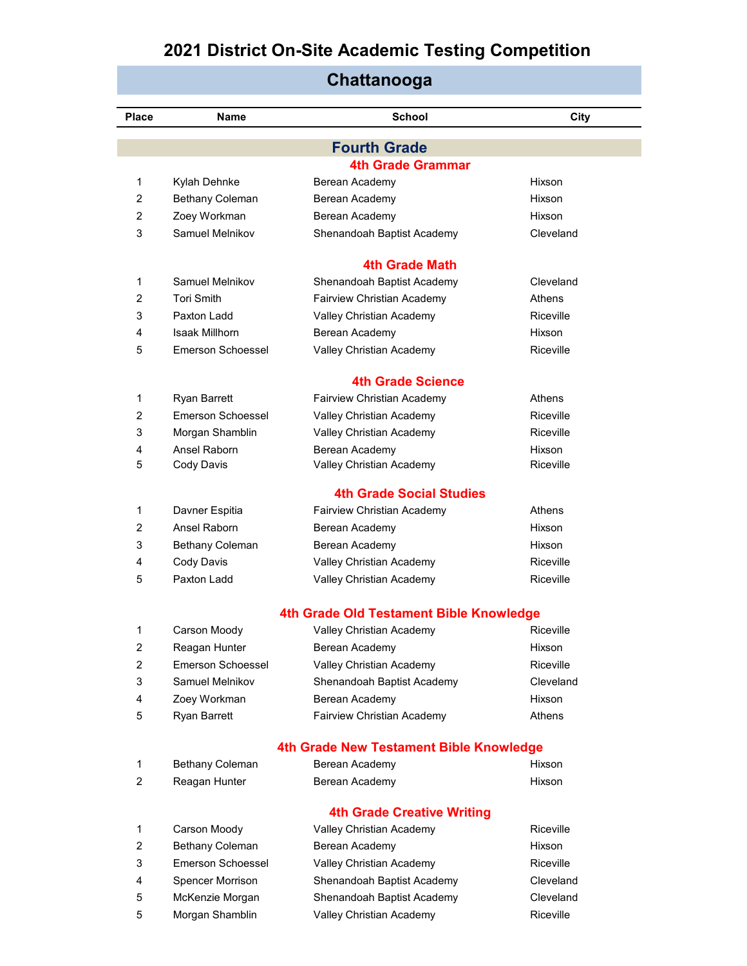| ๛๛๛๛๛๛         |                                   |                                         |           |  |
|----------------|-----------------------------------|-----------------------------------------|-----------|--|
| Place          | <b>Name</b>                       | <b>School</b>                           | City      |  |
|                |                                   | <b>Fourth Grade</b>                     |           |  |
|                |                                   | <b>4th Grade Grammar</b>                |           |  |
| 1              | Kylah Dehnke                      | Berean Academy                          | Hixson    |  |
| 2              | Bethany Coleman                   | Berean Academy                          | Hixson    |  |
| $\overline{2}$ | Zoey Workman                      | Berean Academy                          | Hixson    |  |
| 3              | Samuel Melnikov                   | Shenandoah Baptist Academy              | Cleveland |  |
|                |                                   | 4th Grade Math                          |           |  |
| 1              | Samuel Melnikov                   | Shenandoah Baptist Academy              | Cleveland |  |
| $\overline{2}$ | <b>Tori Smith</b>                 | Fairview Christian Academy              | Athens    |  |
| 3              | Paxton Ladd                       | Valley Christian Academy                | Riceville |  |
| 4              | <b>Isaak Millhorn</b>             | Berean Academy                          | Hixson    |  |
| 5              | <b>Emerson Schoessel</b>          | Valley Christian Academy                | Riceville |  |
|                |                                   | <b>4th Grade Science</b>                |           |  |
| 1              | Ryan Barrett                      | Fairview Christian Academy              | Athens    |  |
| $\overline{2}$ | <b>Emerson Schoessel</b>          | Valley Christian Academy                | Riceville |  |
| 3              | Morgan Shamblin                   | Valley Christian Academy                | Riceville |  |
| 4              | Ansel Raborn                      | Berean Academy                          | Hixson    |  |
| 5              | Cody Davis                        | Valley Christian Academy                | Riceville |  |
|                |                                   | <b>4th Grade Social Studies</b>         |           |  |
| 1              | Davner Espitia                    | Fairview Christian Academy              | Athens    |  |
| $\overline{2}$ | Ansel Raborn                      | Berean Academy                          | Hixson    |  |
| 3              | <b>Bethany Coleman</b>            | Berean Academy                          | Hixson    |  |
| 4              | Cody Davis                        | Valley Christian Academy                | Riceville |  |
| 5              | Paxton Ladd                       | Valley Christian Academy                | Riceville |  |
|                |                                   |                                         |           |  |
|                |                                   | 4th Grade Old Testament Bible Knowledge |           |  |
|                | Carson Moody                      | Valley Christian Academy                | Riceville |  |
| 2              | Reagan Hunter                     | Berean Academy                          | Hixson    |  |
| 2              | <b>Emerson Schoessel</b>          | Valley Christian Academy                | Riceville |  |
| 3              | Samuel Melnikov                   | Shenandoah Baptist Academy              | Cleveland |  |
| 4              | Zoey Workman                      | Berean Academy                          | Hixson    |  |
| 5              | Ryan Barrett                      | Fairview Christian Academy              | Athens    |  |
|                |                                   | 4th Grade New Testament Bible Knowledge |           |  |
| 1              | <b>Bethany Coleman</b>            | Berean Academy                          | Hixson    |  |
| 2              | Reagan Hunter                     | Berean Academy                          | Hixson    |  |
|                | <b>4th Grade Creative Writing</b> |                                         |           |  |
| 1              | Carson Moody                      | Valley Christian Academy                | Riceville |  |
| 2              | <b>Bethany Coleman</b>            | Berean Academy                          | Hixson    |  |
| 3              | <b>Emerson Schoessel</b>          | Valley Christian Academy                | Riceville |  |
| 4              | Spencer Morrison                  | Shenandoah Baptist Academy              | Cleveland |  |
| 5              | McKenzie Morgan                   | Shenandoah Baptist Academy              | Cleveland |  |
| 5              | Morgan Shamblin                   | Valley Christian Academy                | Riceville |  |

### **Chattanooga**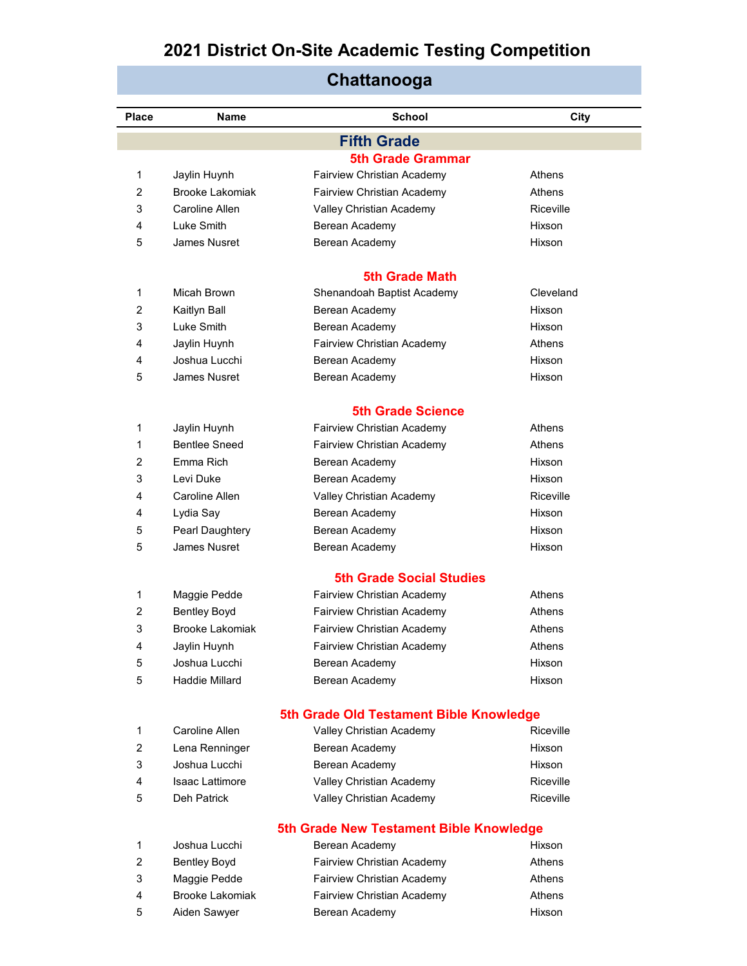| <b>Place</b> | Name                   | <b>School</b>                           | City      |  |
|--------------|------------------------|-----------------------------------------|-----------|--|
|              |                        | <b>Fifth Grade</b>                      |           |  |
|              |                        | <b>5th Grade Grammar</b>                |           |  |
| 1            | Jaylin Huynh           | Fairview Christian Academy              | Athens    |  |
| 2            | Brooke Lakomiak        | Fairview Christian Academy              | Athens    |  |
| 3            | Caroline Allen         | Valley Christian Academy                | Riceville |  |
| 4            | Luke Smith             | Berean Academy                          | Hixson    |  |
| 5            | James Nusret           | Berean Academy                          | Hixson    |  |
|              |                        | <b>5th Grade Math</b>                   |           |  |
| 1            | Micah Brown            | Shenandoah Baptist Academy              | Cleveland |  |
| 2            | Kaitlyn Ball           | Berean Academy                          | Hixson    |  |
| 3            | Luke Smith             | Berean Academy                          | Hixson    |  |
| 4            | Jaylin Huynh           | Fairview Christian Academy              | Athens    |  |
| 4            | Joshua Lucchi          | Berean Academy                          | Hixson    |  |
| 5            | James Nusret           | Berean Academy                          | Hixson    |  |
|              |                        | <b>5th Grade Science</b>                |           |  |
| 1            | Jaylin Huynh           | Fairview Christian Academy              | Athens    |  |
| 1            | <b>Bentlee Sneed</b>   | Fairview Christian Academy              | Athens    |  |
| 2            | Emma Rich              | Berean Academy                          | Hixson    |  |
| 3            | Levi Duke              | Berean Academy                          | Hixson    |  |
| 4            | Caroline Allen         | Valley Christian Academy                | Riceville |  |
| 4            | Lydia Say              | Berean Academy                          | Hixson    |  |
| 5            | Pearl Daughtery        | Berean Academy                          | Hixson    |  |
| 5            | James Nusret           | Berean Academy                          | Hixson    |  |
|              |                        | <b>5th Grade Social Studies</b>         |           |  |
| 1            | Maggie Pedde           | Fairview Christian Academy              | Athens    |  |
| 2            | <b>Bentley Boyd</b>    | Fairview Christian Academy              | Athens    |  |
| 3            | Brooke Lakomiak        | <b>Fairview Christian Academy</b>       | Athens    |  |
| 4            | Jaylin Huynh           | Fairview Christian Academy              | Athens    |  |
| 5            | Joshua Lucchi          | Berean Academy                          | Hixson    |  |
| 5            | Haddie Millard         | Berean Academy                          | Hixson    |  |
|              |                        | 5th Grade Old Testament Bible Knowledge |           |  |
| 1            | Caroline Allen         | Valley Christian Academy                | Riceville |  |
| 2            | Lena Renninger         | Berean Academy                          | Hixson    |  |
| 3            | Joshua Lucchi          | Berean Academy                          | Hixson    |  |
| 4            | <b>Isaac Lattimore</b> | Valley Christian Academy                | Riceville |  |
| 5            | Deh Patrick            | Valley Christian Academy                | Riceville |  |
|              |                        | 5th Grade New Testament Bible Knowledge |           |  |
| 1            | Joshua Lucchi          | Berean Academy                          | Hixson    |  |
| 2            | <b>Bentley Boyd</b>    | Fairview Christian Academy              | Athens    |  |
| 3            | Maggie Pedde           | Fairview Christian Academy              | Athens    |  |
| 4            | Brooke Lakomiak        | Fairview Christian Academy              | Athens    |  |

5 Aiden Sawyer **Berean Academy Hixson**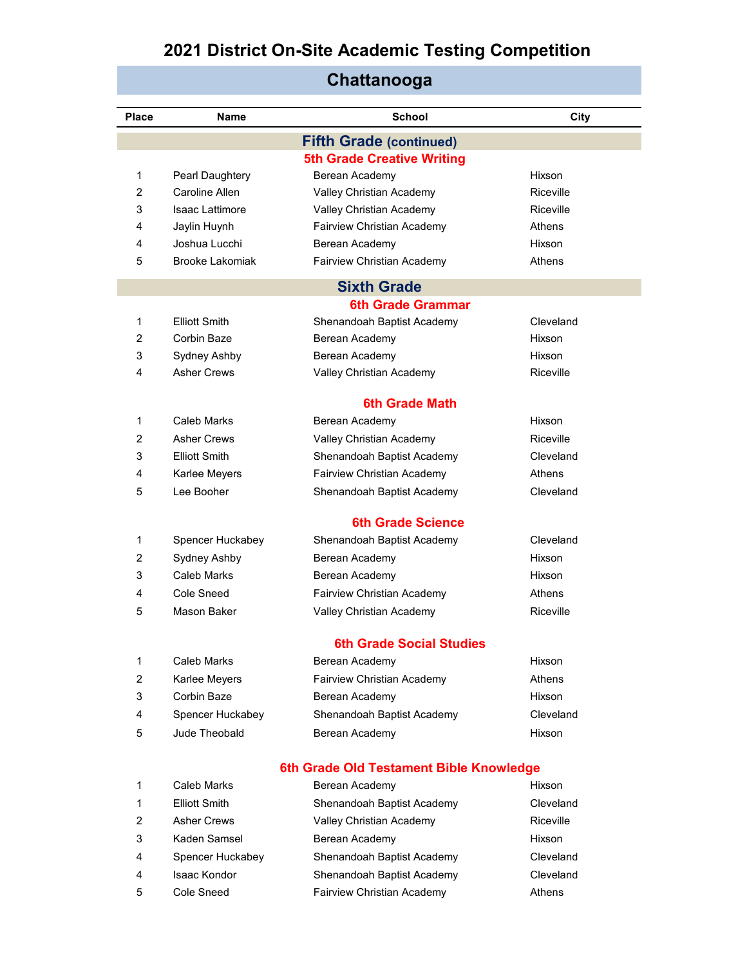| <b>Place</b> | Name                 | <b>School</b>                           | City          |  |
|--------------|----------------------|-----------------------------------------|---------------|--|
|              |                      | <b>Fifth Grade (continued)</b>          |               |  |
|              |                      | <b>5th Grade Creative Writing</b>       |               |  |
| 1            | Pearl Daughtery      | Berean Academy                          | Hixson        |  |
| 2            | Caroline Allen       | Valley Christian Academy                | Riceville     |  |
| 3            | Isaac Lattimore      | Valley Christian Academy                | Riceville     |  |
| 4            | Jaylin Huynh         | Fairview Christian Academy              | <b>Athens</b> |  |
| 4            | Joshua Lucchi        | Berean Academy                          | Hixson        |  |
| 5            | Brooke Lakomiak      | Fairview Christian Academy              | Athens        |  |
|              |                      | <b>Sixth Grade</b>                      |               |  |
|              |                      | 6th Grade Grammar                       |               |  |
| 1            | <b>Elliott Smith</b> | Shenandoah Baptist Academy              | Cleveland     |  |
| 2            | Corbin Baze          | Berean Academy                          | Hixson        |  |
| 3            | Sydney Ashby         | Berean Academy                          | Hixson        |  |
| 4            | <b>Asher Crews</b>   | Valley Christian Academy                | Riceville     |  |
|              |                      | <b>6th Grade Math</b>                   |               |  |
| 1            | Caleb Marks          | Berean Academy                          | Hixson        |  |
| 2            | <b>Asher Crews</b>   | Valley Christian Academy                | Riceville     |  |
| 3            | <b>Elliott Smith</b> | Shenandoah Baptist Academy              | Cleveland     |  |
| 4            | Karlee Meyers        | Fairview Christian Academy              | <b>Athens</b> |  |
| 5            | Lee Booher           | Shenandoah Baptist Academy              | Cleveland     |  |
|              |                      | <b>6th Grade Science</b>                |               |  |
| 1            | Spencer Huckabey     | Shenandoah Baptist Academy              | Cleveland     |  |
| 2            | Sydney Ashby         | Berean Academy                          | Hixson        |  |
| 3            | Caleb Marks          | Berean Academy                          | Hixson        |  |
| 4            | Cole Sneed           | Fairview Christian Academy              | Athens        |  |
| 5            | Mason Baker          | Valley Christian Academy                | Riceville     |  |
|              |                      | <b>6th Grade Social Studies</b>         |               |  |
| 1            | Caleb Marks          | Berean Academy                          | Hixson        |  |
| 2            | Karlee Meyers        | Fairview Christian Academy              | Athens        |  |
| 3            | Corbin Baze          | Berean Academy                          | Hixson        |  |
| 4            | Spencer Huckabey     | Shenandoah Baptist Academy              | Cleveland     |  |
| 5            | Jude Theobald        | Berean Academy                          | Hixson        |  |
|              |                      |                                         |               |  |
|              |                      | 6th Grade Old Testament Bible Knowledge |               |  |
| 1            | Caleb Marks          | Berean Academy                          | Hixson        |  |
| 1            | Elliott Smith        | Shenandoah Baptist Academy              | Cleveland     |  |
| 2            | Asher Crews          | Valley Christian Academy                | Riceville     |  |
| 3            | Kaden Samsel         | Berean Academy                          | Hixson        |  |

| 4  | Spencer Huckabey | Shenandoah Baptist Academy | Cleveland |
|----|------------------|----------------------------|-----------|
| 4  | Isaac Kondor     | Shenandoah Baptist Academy | Cleveland |
| 5. | Cole Sneed       | Fairview Christian Academy | Athens    |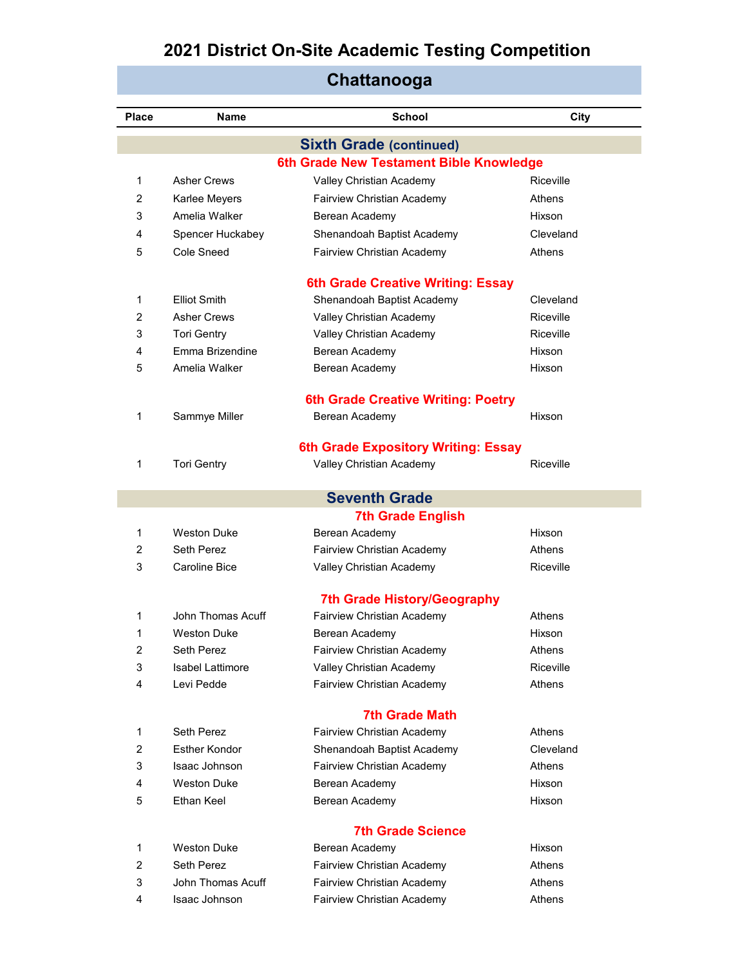| Chattanooga    |                         |                                           |           |  |
|----------------|-------------------------|-------------------------------------------|-----------|--|
| Place          | Name                    | <b>School</b>                             | City      |  |
|                |                         | <b>Sixth Grade (continued)</b>            |           |  |
|                |                         | 6th Grade New Testament Bible Knowledge   |           |  |
| 1              | <b>Asher Crews</b>      | Valley Christian Academy                  | Riceville |  |
| 2              | Karlee Meyers           | Fairview Christian Academy                | Athens    |  |
| 3              | Amelia Walker           | Berean Academy                            | Hixson    |  |
| 4              | Spencer Huckabey        | Shenandoah Baptist Academy                | Cleveland |  |
| 5              | Cole Sneed              | Fairview Christian Academy                | Athens    |  |
|                |                         | <b>6th Grade Creative Writing: Essay</b>  |           |  |
| 1              | Elliot Smith            | Shenandoah Baptist Academy                | Cleveland |  |
| 2              | Asher Crews             | Valley Christian Academy                  | Riceville |  |
| 3              | <b>Tori Gentry</b>      | Valley Christian Academy                  | Riceville |  |
| 4              | Emma Brizendine         | Berean Academy                            | Hixson    |  |
| 5              | Amelia Walker           | Berean Academy                            | Hixson    |  |
|                |                         | <b>6th Grade Creative Writing: Poetry</b> |           |  |
| 1              | Sammye Miller           | Berean Academy                            | Hixson    |  |
|                |                         |                                           |           |  |
|                |                         | 6th Grade Expository Writing: Essay       |           |  |
| 1              | <b>Tori Gentry</b>      | Valley Christian Academy                  | Riceville |  |
|                |                         | <b>Seventh Grade</b>                      |           |  |
|                |                         | <b>7th Grade English</b>                  |           |  |
| 1              | <b>Weston Duke</b>      | Berean Academy                            | Hixson    |  |
| 2              | Seth Perez              | Fairview Christian Academy                | Athens    |  |
| 3              | <b>Caroline Bice</b>    | Valley Christian Academy                  | Riceville |  |
|                |                         | <b>7th Grade History/Geography</b>        |           |  |
| 1              | John Thomas Acuff       | Fairview Christian Academy                | Athens    |  |
| 1              | Weston Duke             | Berean Academy                            | Hixson    |  |
| $\overline{2}$ | Seth Perez              | Fairview Christian Academy                | Athens    |  |
| 3              | <b>Isabel Lattimore</b> | Valley Christian Academy                  | Riceville |  |
| 4              | Levi Pedde              | Fairview Christian Academy                | Athens    |  |
|                |                         | <b>7th Grade Math</b>                     |           |  |
| 1              | Seth Perez              | Fairview Christian Academy                | Athens    |  |
| 2              | Esther Kondor           | Shenandoah Baptist Academy                | Cleveland |  |
| 3              | Isaac Johnson           | Fairview Christian Academy                | Athens    |  |
| 4              | <b>Weston Duke</b>      | Berean Academy                            | Hixson    |  |
| 5              | Ethan Keel              | Berean Academy                            | Hixson    |  |
|                |                         | <b>7th Grade Science</b>                  |           |  |
| $\mathbf{1}$   | <b>Weston Duke</b>      | Berean Academy                            | Hixson    |  |
| 2              | Seth Perez              | Fairview Christian Academy                | Athens    |  |
| 3              | John Thomas Acuff       | Fairview Christian Academy                | Athens    |  |
| 4              | Isaac Johnson           | Fairview Christian Academy                | Athens    |  |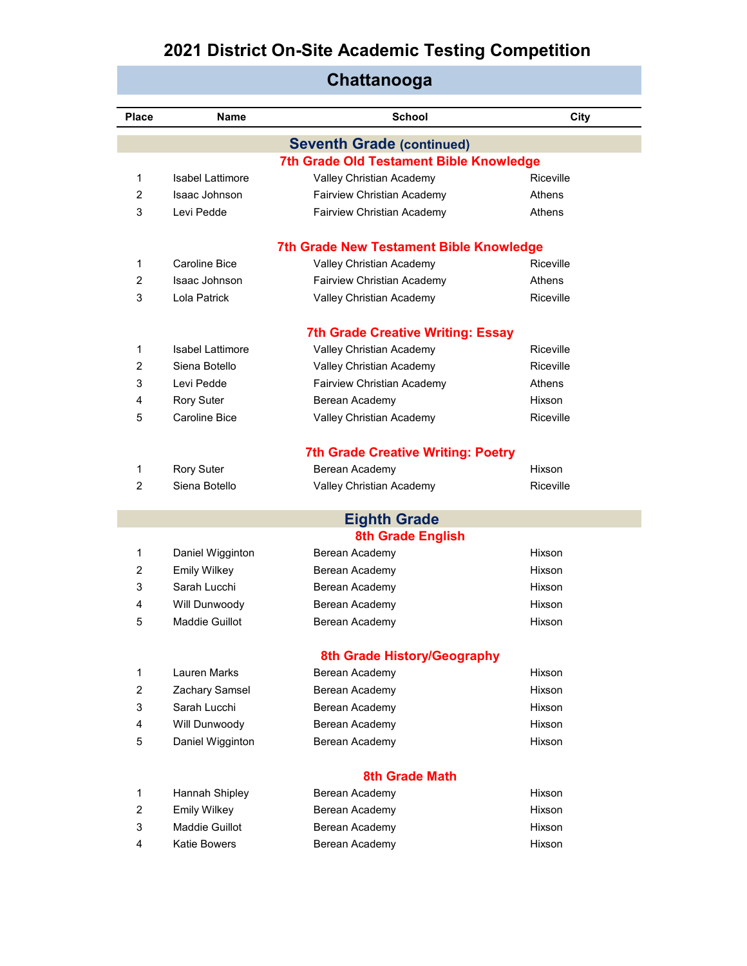| <b>Place</b>   | Name                            | <b>School</b>                                               | City             |  |  |
|----------------|---------------------------------|-------------------------------------------------------------|------------------|--|--|
|                |                                 | <b>Seventh Grade (continued)</b>                            |                  |  |  |
|                |                                 | <b>7th Grade Old Testament Bible Knowledge</b>              |                  |  |  |
| 1              | <b>Isabel Lattimore</b>         | Valley Christian Academy                                    | Riceville        |  |  |
| 2              | Isaac Johnson                   | Fairview Christian Academy                                  | Athens           |  |  |
| 3              | Levi Pedde                      | Fairview Christian Academy                                  | Athens           |  |  |
|                |                                 | <b>7th Grade New Testament Bible Knowledge</b>              |                  |  |  |
| 1              | Caroline Bice                   | Valley Christian Academy                                    | Riceville        |  |  |
| 2              | Isaac Johnson                   | Fairview Christian Academy                                  | Athens           |  |  |
| 3              | Lola Patrick                    | Valley Christian Academy                                    | Riceville        |  |  |
|                |                                 | <b>7th Grade Creative Writing: Essay</b>                    |                  |  |  |
| 1              | Isabel Lattimore                | Valley Christian Academy                                    | Riceville        |  |  |
| $\overline{2}$ | Siena Botello                   | Valley Christian Academy                                    | Riceville        |  |  |
| 3              | Levi Pedde                      | <b>Fairview Christian Academy</b>                           | Athens           |  |  |
| 4              | <b>Rory Suter</b>               | Berean Academy                                              | Hixson           |  |  |
| 5              | Caroline Bice                   | Valley Christian Academy                                    | <b>Riceville</b> |  |  |
|                |                                 |                                                             |                  |  |  |
| 1              | <b>Rory Suter</b>               | <b>7th Grade Creative Writing: Poetry</b><br>Berean Academy | Hixson           |  |  |
| 2              | Siena Botello                   | Valley Christian Academy                                    | Riceville        |  |  |
|                |                                 |                                                             |                  |  |  |
|                |                                 | <b>Eighth Grade</b>                                         |                  |  |  |
|                |                                 | <b>8th Grade English</b>                                    |                  |  |  |
| 1              | Daniel Wigginton                | Berean Academy                                              | Hixson           |  |  |
| 2              | <b>Emily Wilkey</b>             | Berean Academy                                              | Hixson           |  |  |
| 3              | Sarah Lucchi                    | Berean Academy                                              | Hixson           |  |  |
| 4              | Will Dunwoody<br>Maddie Guillot | Berean Academy                                              | Hixson           |  |  |
| 5              |                                 | Berean Academy                                              | Hixson           |  |  |
|                | 8th Grade History/Geography     |                                                             |                  |  |  |
| 1              | Lauren Marks                    | Berean Academy                                              | Hixson           |  |  |
| 2              | Zachary Samsel                  | Berean Academy                                              | Hixson           |  |  |
| 3              | Sarah Lucchi                    | Berean Academy                                              | Hixson           |  |  |
| $\overline{4}$ | Will Dunwoody                   | Berean Academy                                              | Hixson           |  |  |
| 5              | Daniel Wigginton                | Berean Academy                                              | Hixson           |  |  |
|                |                                 | <b>8th Grade Math</b>                                       |                  |  |  |
| 1              | Hannah Shipley                  | Berean Academy                                              | Hixson           |  |  |
| $\overline{2}$ | <b>Emily Wilkey</b>             | Berean Academy                                              | Hixson           |  |  |
| 3              | Maddie Guillot                  | Berean Academy                                              | Hixson           |  |  |

4 Katie Bowers **Berean Academy Hixson** 

### **Chattanooga**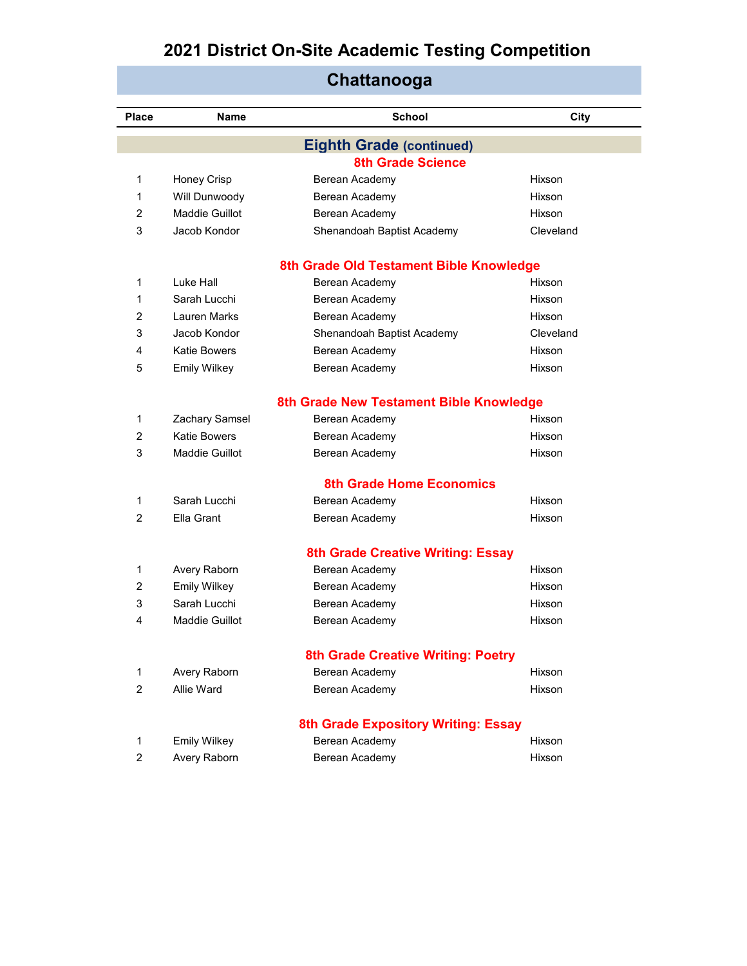| Chattanooga    |                     |                                            |           |  |
|----------------|---------------------|--------------------------------------------|-----------|--|
| Place          | <b>Name</b>         | School                                     | City      |  |
|                |                     | <b>Eighth Grade (continued)</b>            |           |  |
|                |                     | <b>8th Grade Science</b>                   |           |  |
| 1              | Honey Crisp         | Berean Academy                             | Hixson    |  |
| 1              | Will Dunwoody       | Berean Academy                             | Hixson    |  |
| 2              | Maddie Guillot      | Berean Academy                             | Hixson    |  |
| 3              | Jacob Kondor        | Shenandoah Baptist Academy                 | Cleveland |  |
|                |                     | 8th Grade Old Testament Bible Knowledge    |           |  |
| 1              | Luke Hall           | Berean Academy                             | Hixson    |  |
| 1              | Sarah Lucchi        | Berean Academy                             | Hixson    |  |
| 2              | <b>Lauren Marks</b> | Berean Academy                             | Hixson    |  |
| 3              | Jacob Kondor        | Shenandoah Baptist Academy                 | Cleveland |  |
| 4              | Katie Bowers        | Berean Academy                             | Hixson    |  |
| 5              | <b>Emily Wilkey</b> | Berean Academy                             | Hixson    |  |
|                |                     | 8th Grade New Testament Bible Knowledge    |           |  |
| 1              | Zachary Samsel      | Berean Academy                             | Hixson    |  |
| 2              | Katie Bowers        | Berean Academy                             | Hixson    |  |
| 3              | Maddie Guillot      | Berean Academy                             | Hixson    |  |
|                |                     | <b>8th Grade Home Economics</b>            |           |  |
| 1              | Sarah Lucchi        | Berean Academy                             | Hixson    |  |
| 2              | Ella Grant          | Berean Academy                             | Hixson    |  |
|                |                     | <b>8th Grade Creative Writing: Essay</b>   |           |  |
| 1              | Avery Raborn        | Berean Academy                             | Hixson    |  |
| 2              | <b>Emily Wilkey</b> | Berean Academy                             | Hixson    |  |
| 3              | Sarah Lucchi        | Berean Academy                             | Hixson    |  |
| 4              | Maddie Guillot      | Berean Academy                             | Hixson    |  |
|                |                     | <b>8th Grade Creative Writing: Poetry</b>  |           |  |
| $\mathbf{1}$   | Avery Raborn        | Berean Academy                             | Hixson    |  |
| 2              | Allie Ward          | Berean Academy                             | Hixson    |  |
|                |                     | <b>8th Grade Expository Writing: Essay</b> |           |  |
| 1              | <b>Emily Wilkey</b> | Berean Academy                             | Hixson    |  |
| $\overline{c}$ | Avery Raborn        | Berean Academy                             | Hixson    |  |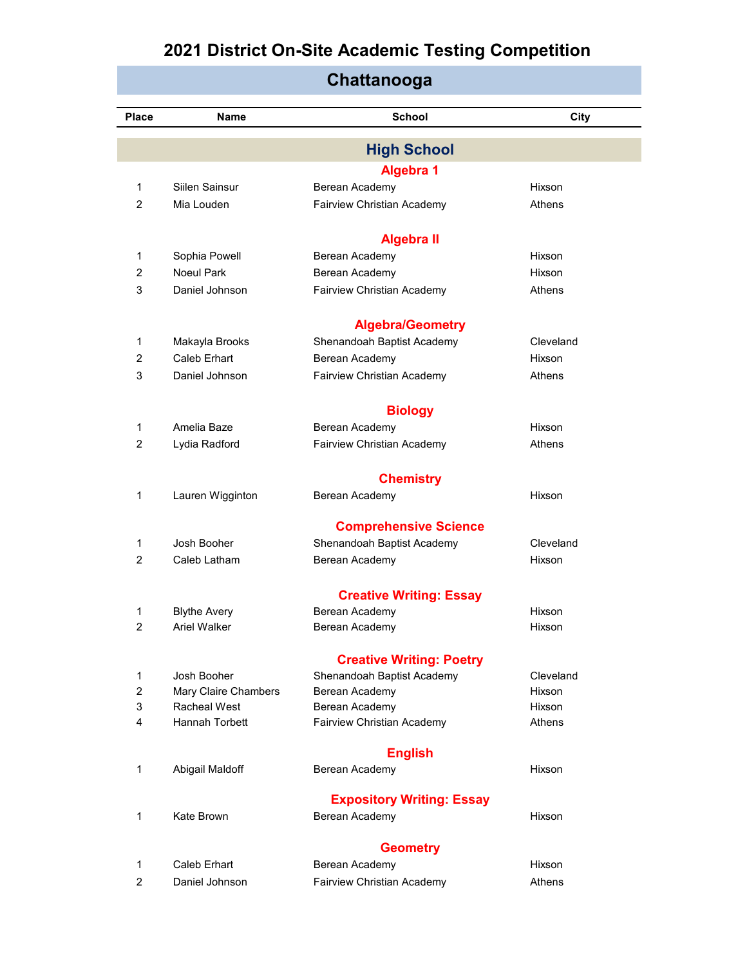|                |                      | Unauanvuya                          |           |
|----------------|----------------------|-------------------------------------|-----------|
| Place          | Name                 | <b>School</b>                       | City      |
|                |                      |                                     |           |
|                |                      | <b>High School</b>                  |           |
|                |                      | <b>Algebra 1</b>                    |           |
| 1              | Siilen Sainsur       | Berean Academy                      | Hixson    |
| $\overline{2}$ | Mia Louden           | Fairview Christian Academy          | Athens    |
|                |                      |                                     |           |
| 1              | Sophia Powell        | <b>Algebra II</b><br>Berean Academy | Hixson    |
| 2              | Noeul Park           | Berean Academy                      | Hixson    |
| 3              | Daniel Johnson       | Fairview Christian Academy          | Athens    |
|                |                      |                                     |           |
|                |                      | <b>Algebra/Geometry</b>             |           |
| 1              | Makayla Brooks       | Shenandoah Baptist Academy          | Cleveland |
| 2              | <b>Caleb Erhart</b>  | Berean Academy                      | Hixson    |
| 3              | Daniel Johnson       | Fairview Christian Academy          | Athens    |
|                |                      |                                     |           |
|                |                      | <b>Biology</b>                      |           |
| 1              | Amelia Baze          | Berean Academy                      | Hixson    |
| $\overline{2}$ | Lydia Radford        | Fairview Christian Academy          | Athens    |
|                |                      |                                     |           |
|                |                      | <b>Chemistry</b>                    |           |
| 1              | Lauren Wigginton     | Berean Academy                      | Hixson    |
|                |                      | <b>Comprehensive Science</b>        |           |
| 1              | Josh Booher          | Shenandoah Baptist Academy          | Cleveland |
| 2              | Caleb Latham         | Berean Academy                      | Hixson    |
|                |                      |                                     |           |
|                |                      | <b>Creative Writing: Essay</b>      |           |
| 1              | <b>Blythe Avery</b>  | Berean Academy                      | Hixson    |
| 2              | Ariel Walker         | Berean Academy                      | Hixson    |
|                |                      | <b>Creative Writing: Poetry</b>     |           |
| 1              | Josh Booher          | Shenandoah Baptist Academy          | Cleveland |
| $\overline{c}$ | Mary Claire Chambers | Berean Academy                      | Hixson    |
| 3              | <b>Racheal West</b>  | Berean Academy                      | Hixson    |
| 4              | Hannah Torbett       | Fairview Christian Academy          | Athens    |
|                |                      | <b>English</b>                      |           |
| 1              | Abigail Maldoff      | Berean Academy                      | Hixson    |
|                |                      |                                     |           |
|                |                      | <b>Expository Writing: Essay</b>    |           |
| 1              | Kate Brown           | Berean Academy                      | Hixson    |
|                |                      | <b>Geometry</b>                     |           |
| 1              | Caleb Erhart         | Berean Academy                      | Hixson    |
| $\overline{c}$ | Daniel Johnson       | Fairview Christian Academy          | Athens    |
|                |                      |                                     |           |